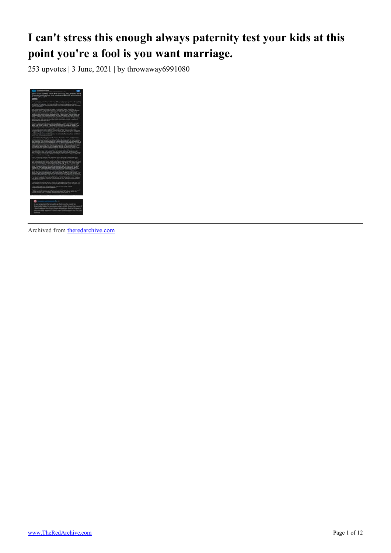# **I can't stress this enough always paternity test your kids at this point you're a fool is you want marriage.**

253 upvotes | 3 June, 2021 | by throwaway6991080



Archived from [theredarchive.com](https://theredarchive.com/r/MGTOW/i-cant-stress-this-enough-always-paternity-test.773020)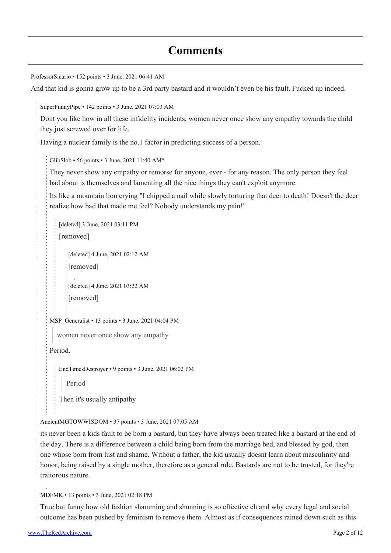# **Comments**

```
ProfessorSicario • 152 points • 3 June, 2021 06:41 AM
And that kid is gonna grow up to be a 3rd party bastard and it wouldn't even be his fault. Fucked up indeed.
   SuperFunnyPipe • 142 points • 3 June, 2021 07:03 AM
   Dont you like how in all these infidelity incidents, women never once show any empathy towards the child
   they just screwed over for life.
   Having a nuclear family is the no.1 factor in predicting success of a person.
      GlibSlob • 56 points • 3 June, 2021 11:40 AM*
      They never show any empathy or remorse for anyone, ever - for any reason. The only person they feel
      bad about is themselves and lamenting all the nice things they can't exploit anymore.
      Its like a mountain lion crying "I chipped a nail while slowly torturing that deer to death! Doesn't the deer
      realize how bad that made me feel? Nobody understands my pain!"
         [deleted] 3 June, 2021 03:11 PM
         [removed]
             [deleted] 4 June, 2021 02:12 AM
            [removed]
            [deleted] 4 June, 2021 03:22 AM
             [removed]
      MSP Generalist • 13 points • 3 June, 2021 04:04 PM
         women never once show any empathy
      Period.
         EndTimesDestroyer • 9 points • 3 June, 2021 06:02 PM
            Period
         Then it's usually antipathy
   AncientMGTOWWISDOM • 37 points • 3 June, 2021 07:05 AM
   its never been a kids fault to be born a bastard, but they have always been treated like a bastard at the end of
   the day. There is a difference between a child being born from the marriage bed, and blessed by god, then
   one whose born from lust and shame. Without a father, the kid usually doesnt learn about masculinity and
   honor, being raised by a single mother, therefore as a general rule, Bastards are not to be trusted, for they're
```
[MDFMK](https://old.reddit.com/user/MDFMK) • 13 points • 3 June, 2021 02:18 PM

True but funny how old fashion shamming and shunning is so effective eh and why every legal and social outcome has been pushed by feminism to remove them. Almost as if consequences rained down such as this

traitorous nature.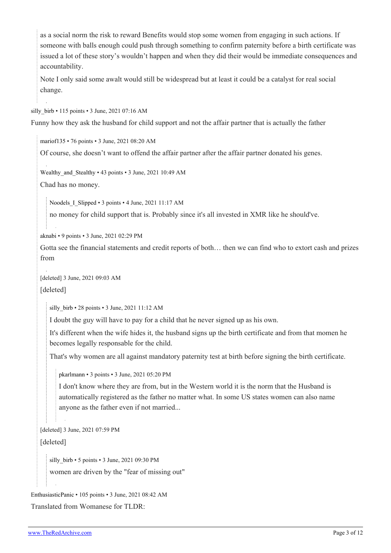as a social norm the risk to reward Benefits would stop some women from engaging in such actions. If someone with balls enough could push through something to confirm paternity before a birth certificate was issued a lot of these story's wouldn't happen and when they did their would be immediate consequences and accountability.

Note I only said some awalt would still be widespread but at least it could be a catalyst for real social change.

silly birb • 115 points • 3 June, 2021 07:16 AM

Funny how they ask the husband for child support and not the affair partner that is actually the father

[mariof135](https://old.reddit.com/user/mariof135) • 76 points • 3 June, 2021 08:20 AM

Of course, she doesn't want to offend the affair partner after the affair partner donated his genes.

Wealthy and Stealthy • 43 points • 3 June, 2021 10:49 AM

Chad has no money.

Noodels I Slipped • 3 points • 4 June, 2021 11:17 AM

no money for child support that is. Probably since it's all invested in XMR like he should've.

[aknabi](https://old.reddit.com/user/aknabi) • 9 points • 3 June, 2021 02:29 PM

Gotta see the financial statements and credit reports of both… then we can find who to extort cash and prizes from

[deleted] 3 June, 2021 09:03 AM

[deleted]

silly birb • 28 points • 3 June, 2021 11:12 AM

I doubt the guy will have to pay for a child that he never signed up as his own.

It's different when the wife hides it, the husband signs up the birth certificate and from that momen he becomes legally responsable for the child.

That's why women are all against mandatory paternity test at birth before signing the birth certificate.

[pkarlmann](https://old.reddit.com/user/pkarlmann) • 3 points • 3 June, 2021 05:20 PM

I don't know where they are from, but in the Western world it is the norm that the Husband is automatically registered as the father no matter what. In some US states women can also name anyone as the father even if not married...

[deleted] 3 June, 2021 07:59 PM

[deleted]

silly birb • 5 points • 3 June, 2021 09:30 PM

women are driven by the "fear of missing out"

```
EnthusiasticPanic • 105 points • 3 June, 2021 08:42 AM
Translated from Womanese for TLDR:
```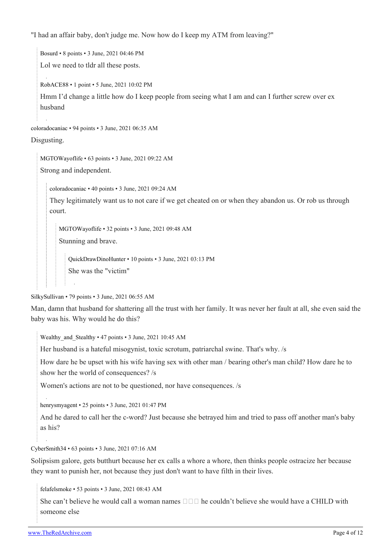"I had an affair baby, don't judge me. Now how do I keep my ATM from leaving?"

[Bosurd](https://old.reddit.com/user/Bosurd) • 8 points • 3 June, 2021 04:46 PM Lol we need to tldr all these posts. [RobACE88](https://old.reddit.com/user/RobACE88) • 1 point • 5 June, 2021 10:02 PM Hmm I'd change a little how do I keep people from seeing what I am and can I further screw over ex husband

[coloradocaniac](https://old.reddit.com/user/coloradocaniac) • 94 points • 3 June, 2021 06:35 AM

Disgusting.

[MGTOWayoflife](https://old.reddit.com/user/MGTOWayoflife) • 63 points • 3 June, 2021 09:22 AM Strong and independent.

[coloradocaniac](https://old.reddit.com/user/coloradocaniac) • 40 points • 3 June, 2021 09:24 AM

They legitimately want us to not care if we get cheated on or when they abandon us. Or rob us through court.

[MGTOWayoflife](https://old.reddit.com/user/MGTOWayoflife) • 32 points • 3 June, 2021 09:48 AM

Stunning and brave.

[QuickDrawDinoHunter](https://old.reddit.com/user/QuickDrawDinoHunter) • 10 points • 3 June, 2021 03:13 PM She was the "victim"

[SilkySullivan](https://old.reddit.com/user/SilkySullivan) • 79 points • 3 June, 2021 06:55 AM

Man, damn that husband for shattering all the trust with her family. It was never her fault at all, she even said the baby was his. Why would he do this?

Wealthy and Stealthy • 47 points • 3 June, 2021 10:45 AM

Her husband is a hateful misogynist, toxic scrotum, patriarchal swine. That's why. /s

How dare he be upset with his wife having sex with other man / bearing other's man child? How dare he to show her the world of consequences? /s

Women's actions are not to be questioned, nor have consequences. /s

[henrysmyagent](https://old.reddit.com/user/henrysmyagent) • 25 points • 3 June, 2021 01:47 PM

And he dared to call her the c-word? Just because she betrayed him and tried to pass off another man's baby as his?

[CyberSmith34](https://old.reddit.com/user/CyberSmith34) • 63 points • 3 June, 2021 07:16 AM

Solipsism galore, gets butthurt because her ex calls a whore a whore, then thinks people ostracize her because they want to punish her, not because they just don't want to have filth in their lives.

[felafelsmoke](https://old.reddit.com/user/felafelsmoke) • 53 points • 3 June, 2021 08:43 AM

She can't believe he would call a woman names  $\Box \Box \Box$  he couldn't believe she would have a CHILD with someone else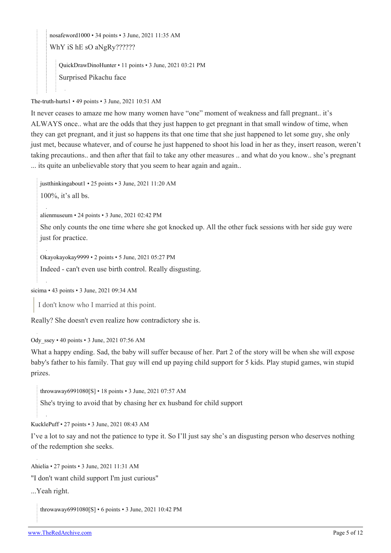[nosafeword1000](https://old.reddit.com/user/nosafeword1000) • 34 points • 3 June, 2021 11:35 AM

WhY iS hE sO aNgRy??????

[QuickDrawDinoHunter](https://old.reddit.com/user/QuickDrawDinoHunter) • 11 points • 3 June, 2021 03:21 PM Surprised Pikachu face

[The-truth-hurts1](https://old.reddit.com/user/The-truth-hurts1) • 49 points • 3 June, 2021 10:51 AM

It never ceases to amaze me how many women have "one" moment of weakness and fall pregnant.. it's ALWAYS once.. what are the odds that they just happen to get pregnant in that small window of time, when they can get pregnant, and it just so happens its that one time that she just happened to let some guy, she only just met, because whatever, and of course he just happened to shoot his load in her as they, insert reason, weren't taking precautions.. and then after that fail to take any other measures .. and what do you know.. she's pregnant ... its quite an unbelievable story that you seem to hear again and again..

[justthinkingabout1](https://old.reddit.com/user/justthinkingabout1) • 25 points • 3 June, 2021 11:20 AM

100%, it's all bs.

[alienmuseum](https://old.reddit.com/user/alienmuseum) • 24 points • 3 June, 2021 02:42 PM

She only counts the one time where she got knocked up. All the other fuck sessions with her side guy were just for practice.

[Okayokayokay9999](https://old.reddit.com/user/Okayokayokay9999) • 2 points • 5 June, 2021 05:27 PM

Indeed - can't even use birth control. Really disgusting.

[sicima](https://old.reddit.com/user/sicima) • 43 points • 3 June, 2021 09:34 AM

I don't know who I married at this point.

Really? She doesn't even realize how contradictory she is.

[Ody\\_ssey](https://old.reddit.com/user/Ody_ssey) • 40 points • 3 June, 2021 07:56 AM

What a happy ending. Sad, the baby will suffer because of her. Part 2 of the story will be when she will expose baby's father to his family. That guy will end up paying child support for 5 kids. Play stupid games, win stupid prizes.

[throwaway6991080\[](https://old.reddit.com/user/throwaway6991080)[S\]](https://theredarchive.com/r/MGTOW/comments/nr6qxl/i_cant_stress_this_enough_always_paternity_test/) • 18 points • 3 June, 2021 07:57 AM

She's trying to avoid that by chasing her ex husband for child support

[KucklePuff](https://old.reddit.com/user/KucklePuff) • 27 points • 3 June, 2021 08:43 AM

I've a lot to say and not the patience to type it. So I'll just say she's an disgusting person who deserves nothing of the redemption she seeks.

[Ahielia](https://old.reddit.com/user/Ahielia) • 27 points • 3 June, 2021 11:31 AM

"I don't want child support I'm just curious"

...Yeah right.

[throwaway6991080\[](https://old.reddit.com/user/throwaway6991080)[S\]](https://theredarchive.com/r/MGTOW/comments/nr6qxl/i_cant_stress_this_enough_always_paternity_test/) • 6 points • 3 June, 2021 10:42 PM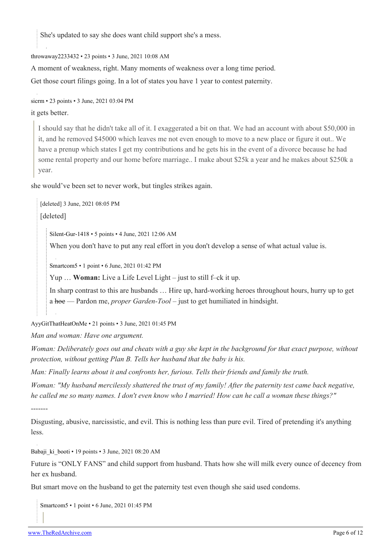She's updated to say she does want child support she's a mess.

[throwaway2233432](https://old.reddit.com/user/throwaway2233432) • 23 points • 3 June, 2021 10:08 AM

A moment of weakness, right. Many moments of weakness over a long time period.

Get those court filings going. In a lot of states you have 1 year to contest paternity.

[sicrm](https://old.reddit.com/user/sicrm) • 23 points • 3 June, 2021 03:04 PM

it gets better.

I should say that he didn't take all of it. I exaggerated a bit on that. We had an account with about \$50,000 in it, and he removed \$45000 which leaves me not even enough to move to a new place or figure it out.. We have a prenup which states I get my contributions and he gets his in the event of a divorce because he had some rental property and our home before marriage.. I make about \$25k a year and he makes about \$250k a year.

she would've been set to never work, but tingles strikes again.

[deleted] 3 June, 2021 08:05 PM [deleted]

[Silent-Gur-1418](https://old.reddit.com/user/Silent-Gur-1418) • 5 points • 4 June, 2021 12:06 AM

When you don't have to put any real effort in you don't develop a sense of what actual value is.

[Smartcom5](https://old.reddit.com/user/Smartcom5) • 1 point • 6 June, 2021 01:42 PM

Yup … **Woman:** Live a Life Level Light – just to still f–ck it up.

In sharp contrast to this are husbands … Hire up, hard-working heroes throughout hours, hurry up to get a hoe — Pardon me, *proper Garden-Tool* – just to get humiliated in hindsight.

[AyyGitThatHeatOnMe](https://old.reddit.com/user/AyyGitThatHeatOnMe) • 21 points • 3 June, 2021 01:45 PM

*Man and woman: Have one argument.*

*Woman: Deliberately goes out and cheats with a guy she kept in the background for that exact purpose, without protection, without getting Plan B. Tells her husband that the baby is his.*

*Man: Finally learns about it and confronts her, furious. Tells their friends and family the truth.*

*Woman: "My husband mercilessly shattered the trust of my family! After the paternity test came back negative, he called me so many names. I don't even know who I married! How can he call a woman these things?"*

Disgusting, abusive, narcissistic, and evil. This is nothing less than pure evil. Tired of pretending it's anything less.

Babaji ki booti • 19 points • 3 June, 2021 08:20 AM

Future is "ONLY FANS" and child support from husband. Thats how she will milk every ounce of decency from her ex husband.

But smart move on the husband to get the paternity test even though she said used condoms.

[Smartcom5](https://old.reddit.com/user/Smartcom5) • 1 point • 6 June, 2021 01:45 PM

-------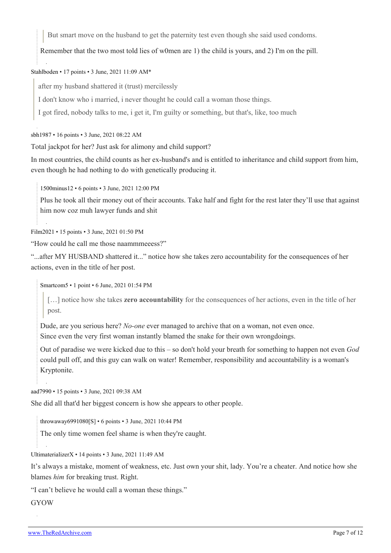But smart move on the husband to get the paternity test even though she said used condoms.

Remember that the two most told lies of w0men are 1) the child is yours, and 2) I'm on the pill.

## [Stahlboden](https://old.reddit.com/user/Stahlboden) • 17 points • 3 June, 2021 11:09 AM\*

after my husband shattered it (trust) mercilessly

I don't know who i married, i never thought he could call a woman those things.

I got fired, nobody talks to me, i get it, I'm guilty or something, but that's, like, too much

[sbh1987](https://old.reddit.com/user/sbh1987) • 16 points • 3 June, 2021 08:22 AM

Total jackpot for her? Just ask for alimony and child support?

In most countries, the child counts as her ex-husband's and is entitled to inheritance and child support from him, even though he had nothing to do with genetically producing it.

[1500minus12](https://old.reddit.com/user/1500minus12) • 6 points • 3 June, 2021 12:00 PM

Plus he took all their money out of their accounts. Take half and fight for the rest later they'll use that against him now coz muh lawyer funds and shit

[Film2021](https://old.reddit.com/user/Film2021) • 15 points • 3 June, 2021 01:50 PM

"How could he call me those naammmeeess?"

"...after MY HUSBAND shattered it..." notice how she takes zero accountability for the consequences of her actions, even in the title of her post.

[Smartcom5](https://old.reddit.com/user/Smartcom5) • 1 point • 6 June, 2021 01:54 PM

[…] notice how she takes **zero accountability** for the consequences of her actions, even in the title of her post.

Dude, are you serious here? *No-one* ever managed to archive that on a woman, not even once. Since even the very first woman instantly blamed the snake for their own wrongdoings.

Out of paradise we were kicked due to this – so don't hold your breath for something to happen not even *God* could pull off, and this guy can walk on water! Remember, responsibility and accountability is a woman's Kryptonite.

[aad7990](https://old.reddit.com/user/aad7990) • 15 points • 3 June, 2021 09:38 AM

She did all that'd her biggest concern is how she appears to other people.

[throwaway6991080\[](https://old.reddit.com/user/throwaway6991080)[S\]](https://theredarchive.com/r/MGTOW/comments/nr6qxl/i_cant_stress_this_enough_always_paternity_test/) • 6 points • 3 June, 2021 10:44 PM

The only time women feel shame is when they're caught.

[UltimaterializerX](https://old.reddit.com/user/UltimaterializerX) • 14 points • 3 June, 2021 11:49 AM

It's always a mistake, moment of weakness, etc. Just own your shit, lady. You're a cheater. And notice how she blames *him* for breaking trust. Right.

"I can't believe he would call a woman these things."

**GYOW**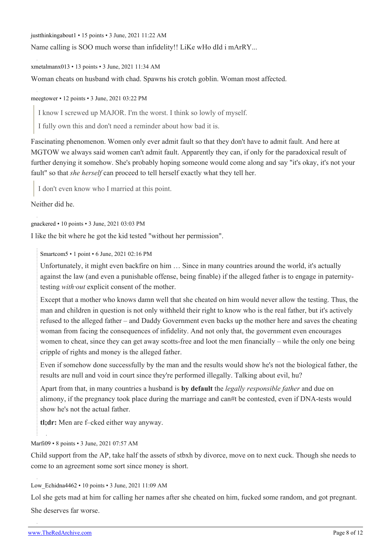[justthinkingabout1](https://old.reddit.com/user/justthinkingabout1) • 15 points • 3 June, 2021 11:22 AM

Name calling is SOO much worse than infidelity!! LiKe wHo dId i mArRY...

[xmetalmanx013](https://old.reddit.com/user/xmetalmanx013) • 13 points • 3 June, 2021 11:34 AM

Woman cheats on husband with chad. Spawns his crotch goblin. Woman most affected.

[meegtower](https://old.reddit.com/user/meegtower) • 12 points • 3 June, 2021 03:22 PM

I know I screwed up MAJOR. I'm the worst. I think so lowly of myself.

I fully own this and don't need a reminder about how bad it is.

Fascinating phenomenon. Women only ever admit fault so that they don't have to admit fault. And here at MGTOW we always said women can't admit fault. Apparently they can, if only for the paradoxical result of further denying it somehow. She's probably hoping someone would come along and say "it's okay, it's not your fault" so that *she herself* can proceed to tell herself exactly what they tell her.

I don't even know who I married at this point.

Neither did he.

[gnackered](https://old.reddit.com/user/gnackered) • 10 points • 3 June, 2021 03:03 PM

I like the bit where he got the kid tested "without her permission".

[Smartcom5](https://old.reddit.com/user/Smartcom5) • 1 point • 6 June, 2021 02:16 PM

Unfortunately, it might even backfire on him … Since in many countries around the world, it's actually against the law (and even a punishable offense, being finable) if the alleged father is to engage in paternitytesting *with·out* explicit consent of the mother.

Except that a mother who knows damn well that she cheated on him would never allow the testing. Thus, the man and children in question is not only withheld their right to know who is the real father, but it's actively refused to the alleged father – and Daddy Government even backs up the mother here and saves the cheating woman from facing the consequences of infidelity. And not only that, the government even encourages women to cheat, since they can get away scotts-free and loot the men financially – while the only one being cripple of rights and money is the alleged father.

Even if somehow done successfully by the man and the results would show he's not the biological father, the results are null and void in court since they're performed illegally. Talking about evil, hu?

Apart from that, in many countries a husband is **by default** the *legally responsible father* and due on alimony, if the pregnancy took place during the marriage and can#t be contested, even if DNA-tests would show he's not the actual father.

**tl;dr:** Men are f–cked either way anyway.

### [Marfi09](https://old.reddit.com/user/Marfi09) • 8 points • 3 June, 2021 07:57 AM

Child support from the AP, take half the assets of stbxh by divorce, move on to next cuck. Though she needs to come to an agreement some sort since money is short.

### [Low\\_Echidna4462](https://old.reddit.com/user/Low_Echidna4462) • 10 points • 3 June, 2021 11:09 AM

Lol she gets mad at him for calling her names after she cheated on him, fucked some random, and got pregnant. She deserves far worse.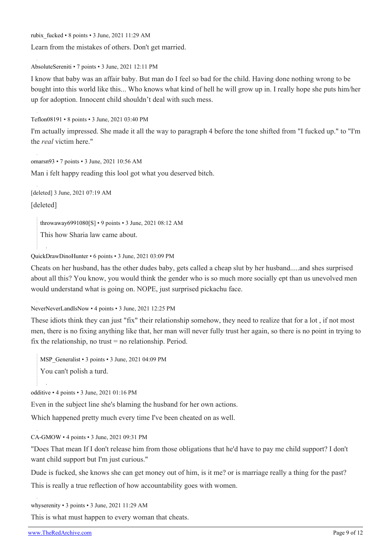[rubix\\_fucked](https://old.reddit.com/user/rubix_fucked) • 8 points • 3 June, 2021 11:29 AM

Learn from the mistakes of others. Don't get married.

[AbsoluteSereniti](https://old.reddit.com/user/AbsoluteSereniti) • 7 points • 3 June, 2021 12:11 PM

I know that baby was an affair baby. But man do I feel so bad for the child. Having done nothing wrong to be bought into this world like this... Who knows what kind of hell he will grow up in. I really hope she puts him/her up for adoption. Innocent child shouldn't deal with such mess.

[Teflon08191](https://old.reddit.com/user/Teflon08191) • 8 points • 3 June, 2021 03:40 PM

I'm actually impressed. She made it all the way to paragraph 4 before the tone shifted from "I fucked up." to "I'm the *real* victim here."

[omarsn93](https://old.reddit.com/user/omarsn93) • 7 points • 3 June, 2021 10:56 AM

Man i felt happy reading this lool got what you deserved bitch.

[deleted] 3 June, 2021 07:19 AM

[deleted]

[throwaway6991080\[](https://old.reddit.com/user/throwaway6991080)[S\]](https://theredarchive.com/r/MGTOW/comments/nr6qxl/i_cant_stress_this_enough_always_paternity_test/) • 9 points • 3 June, 2021 08:12 AM

This how Sharia law came about.

[QuickDrawDinoHunter](https://old.reddit.com/user/QuickDrawDinoHunter) • 6 points • 3 June, 2021 03:09 PM

Cheats on her husband, has the other dudes baby, gets called a cheap slut by her husband.....and shes surprised about all this? You know, you would think the gender who is so much more socially ept than us unevolved men would understand what is going on. NOPE, just surprised pickachu face.

[NeverNeverLandIsNow](https://old.reddit.com/user/NeverNeverLandIsNow) • 4 points • 3 June, 2021 12:25 PM

These idiots think they can just "fix" their relationship somehow, they need to realize that for a lot , if not most men, there is no fixing anything like that, her man will never fully trust her again, so there is no point in trying to fix the relationship, no trust = no relationship. Period.

MSP Generalist • 3 points • 3 June, 2021 04:09 PM You can't polish a turd.

[odditive](https://old.reddit.com/user/odditive) • 4 points • 3 June, 2021 01:16 PM

Even in the subject line she's blaming the husband for her own actions.

Which happened pretty much every time I've been cheated on as well.

[CA-GMOW](https://old.reddit.com/user/CA-GMOW) • 4 points • 3 June, 2021 09:31 PM

"Does That mean If I don't release him from those obligations that he'd have to pay me child support? I don't want child support but I'm just curious."

Dude is fucked, she knows she can get money out of him, is it me? or is marriage really a thing for the past? This is really a true reflection of how accountability goes with women.

[whyserenity](https://old.reddit.com/user/whyserenity) • 3 points • 3 June, 2021 11:29 AM

This is what must happen to every woman that cheats.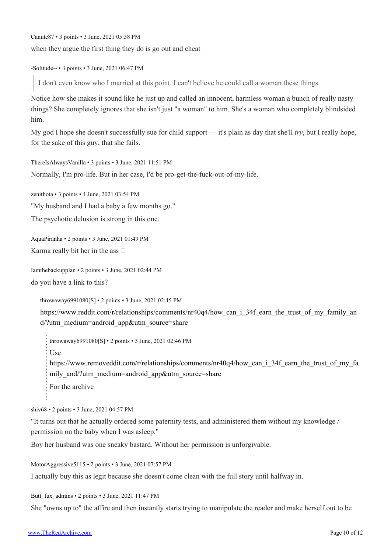[Canute87](https://old.reddit.com/user/Canute87) • 3 points • 3 June, 2021 05:38 PM

when they argue the first thing they do is go out and cheat

[-Solitude--](https://old.reddit.com/user/-Solitude--) • 3 points • 3 June, 2021 06:47 PM

I don't even know who I married at this point. I can't believe he could call a woman these things.

Notice how she makes it sound like he just up and called an innocent, harmless woman a bunch of really nasty things? She completely ignores that she isn't just "a woman" to him. She's a woman who completely blindsided him.

My god I hope she doesn't successfully sue for child support — it's plain as day that she'll *try*, but I really hope, for the sake of this guy, that she fails.

[ThereIsAlwaysVanilla](https://old.reddit.com/user/ThereIsAlwaysVanilla) • 3 points • 3 June, 2021 11:51 PM

Normally, I'm pro-life. But in her case, I'd be pro-get-the-fuck-out-of-my-life.

[zenithota](https://old.reddit.com/user/zenithota) • 3 points • 4 June, 2021 03:54 PM

"My husband and I had a baby a few months go."

The psychotic delusion is strong in this one.

[AquaPiranha](https://old.reddit.com/user/AquaPiranha) • 2 points • 3 June, 2021 01:49 PM

Karma really bit her in the ass  $\square$ 

[Iamthebackupplan](https://old.reddit.com/user/Iamthebackupplan) • 2 points • 3 June, 2021 02:44 PM

do you have a link to this?

[throwaway6991080\[](https://old.reddit.com/user/throwaway6991080)[S\]](https://theredarchive.com/r/MGTOW/comments/nr6qxl/i_cant_stress_this_enough_always_paternity_test/) • 2 points • 3 June, 2021 02:45 PM

[https://www.reddit.com/r/relationships/comments/nr40q4/how\\_can\\_i\\_34f\\_earn\\_the\\_trust\\_of\\_my\\_family\\_an](https://www.reddit.com/r/relationships/comments/nr40q4/how_can_i_34f_earn_the_trust_of_my_family_and/?utm_medium=android_app&utm_source=share) [d/?utm\\_medium=android\\_app&utm\\_source=share](https://www.reddit.com/r/relationships/comments/nr40q4/how_can_i_34f_earn_the_trust_of_my_family_and/?utm_medium=android_app&utm_source=share)

[throwaway6991080\[](https://old.reddit.com/user/throwaway6991080)[S](https://theredarchive.com/r/MGTOW/comments/nr6qxl/i_cant_stress_this_enough_always_paternity_test/)] • 2 points • 3 June, 2021 02:46 PM

Use

[https://www.removeddit.com/r/relationships/comments/nr40q4/how\\_can\\_i\\_34f\\_earn\\_the\\_trust\\_of\\_my\\_fa](https://www.removeddit.com/r/relationships/comments/nr40q4/how_can_i_34f_earn_the_trust_of_my_family_and/?utm_medium=android_app&utm_source=share) mily and/?utm\_medium=android\_app&utm\_source=share

For the archive

[shiv68](https://old.reddit.com/user/shiv68) • 2 points • 3 June, 2021 04:57 PM

"It turns out that he actually ordered some paternity tests, and administered them without my knowledge / permission on the baby when I was asleep."

Boy her husband was one sneaky bastard. Without her permission is unforgivable.

[MotorAggressive5115](https://old.reddit.com/user/MotorAggressive5115) • 2 points • 3 June, 2021 07:57 PM

I actually buy this as legit because she doesn't come clean with the full story until halfway in.

Butt fux admins • 2 points • 3 June, 2021 11:47 PM

She "owns up to" the affire and then instantly starts trying to manipulate the reader and make herself out to be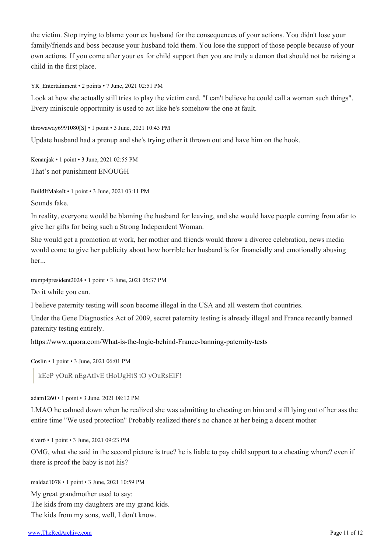the victim. Stop trying to blame your ex husband for the consequences of your actions. You didn't lose your family/friends and boss because your husband told them. You lose the support of those people because of your own actions. If you come after your ex for child support then you are truly a demon that should not be raising a child in the first place.

[YR\\_Entertainment](https://old.reddit.com/user/YR_Entertainment) • 2 points • 7 June, 2021 02:51 PM

Look at how she actually still tries to play the victim card. "I can't believe he could call a woman such things". Every miniscule opportunity is used to act like he's somehow the one at fault.

[throwaway6991080](https://old.reddit.com/user/throwaway6991080)[\[S\]](https://theredarchive.com/r/MGTOW/comments/nr6qxl/i_cant_stress_this_enough_always_paternity_test/) • 1 point • 3 June, 2021 10:43 PM

Update husband had a prenup and she's trying other it thrown out and have him on the hook.

[Kenaujak](https://old.reddit.com/user/Kenaujak) • 1 point • 3 June, 2021 02:55 PM That's not punishment ENOUGH

[BuildItMakeIt](https://old.reddit.com/user/BuildItMakeIt) • 1 point • 3 June, 2021 03:11 PM

Sounds fake.

In reality, everyone would be blaming the husband for leaving, and she would have people coming from afar to give her gifts for being such a Strong Independent Woman.

She would get a promotion at work, her mother and friends would throw a divorce celebration, news media would come to give her publicity about how horrible her husband is for financially and emotionally abusing her...

[trump4president2024](https://old.reddit.com/user/trump4president2024) • 1 point • 3 June, 2021 05:37 PM

Do it while you can.

I believe paternity testing will soon become illegal in the USA and all western thot countries.

Under the Gene Diagnostics Act of 2009, secret paternity testing is already illegal and France recently banned paternity testing entirely.

<https://www.quora.com/What-is-the-logic-behind-France-banning-paternity-tests>

[Coslin](https://old.reddit.com/user/Coslin) • 1 point • 3 June, 2021 06:01 PM

kEeP yOuR nEgAtIvE tHoUgHtS tO yOuRsElF!

[adam1260](https://old.reddit.com/user/adam1260) • 1 point • 3 June, 2021 08:12 PM

LMAO he calmed down when he realized she was admitting to cheating on him and still lying out of her ass the entire time "We used protection" Probably realized there's no chance at her being a decent mother

[slver6](https://old.reddit.com/user/slver6) • 1 point • 3 June, 2021 09:23 PM

OMG, what she said in the second picture is true? he is liable to pay child support to a cheating whore? even if there is proof the baby is not his?

[maldad1078](https://old.reddit.com/user/maldad1078) • 1 point • 3 June, 2021 10:59 PM

My great grandmother used to say:

The kids from my daughters are my grand kids.

The kids from my sons, well, I don't know.